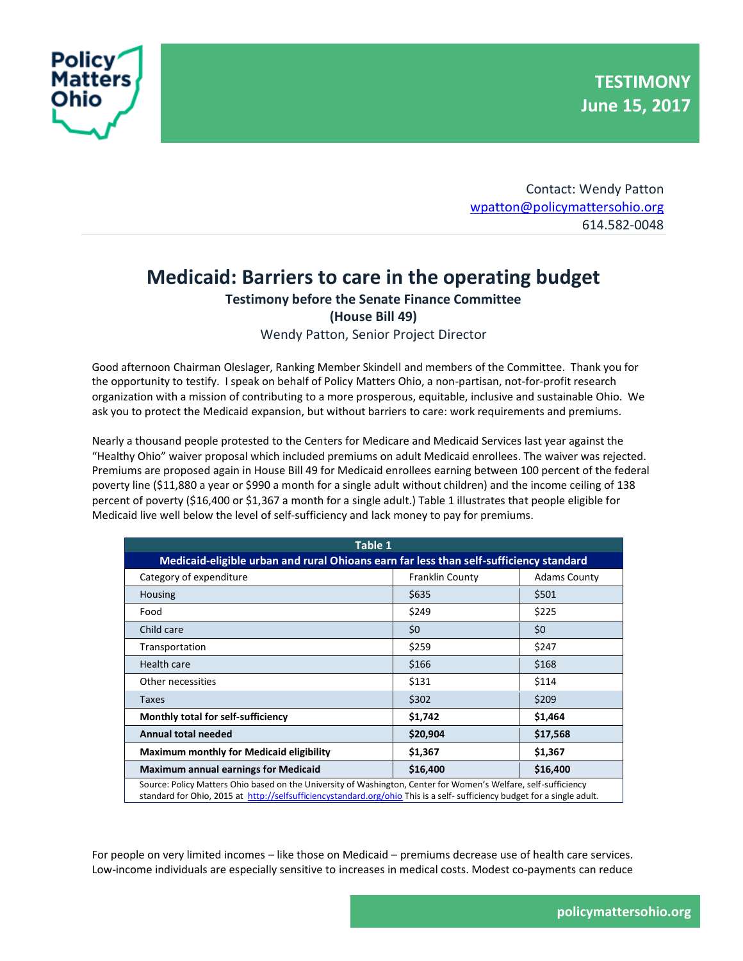

Contact: Wendy Patton [wpatton@policymattersohio.org](mailto:wpatton@policymattersohio.org) 614.582-0048

## **Medicaid: Barriers to care in the operating budget**

## **Testimony before the Senate Finance Committee**

**(House Bill 49)**

Wendy Patton, Senior Project Director

Good afternoon Chairman Oleslager, Ranking Member Skindell and members of the Committee. Thank you for the opportunity to testify. I speak on behalf of Policy Matters Ohio, a non-partisan, not-for-profit research organization with a mission of contributing to a more prosperous, equitable, inclusive and sustainable Ohio. We ask you to protect the Medicaid expansion, but without barriers to care: work requirements and premiums.

Nearly a thousand people protested to the Centers for Medicare and Medicaid Services last year against the "Healthy Ohio" waiver proposal which included premiums on adult Medicaid enrollees. The waiver was rejected. Premiums are proposed again in House Bill 49 for Medicaid enrollees earning between 100 percent of the federal poverty line (\$11,880 a year or \$990 a month for a single adult without children) and the income ceiling of 138 percent of poverty (\$16,400 or \$1,367 a month for a single adult.) Table 1 illustrates that people eligible for Medicaid live well below the level of self-sufficiency and lack money to pay for premiums.

| Table 1                                                                                                         |                        |                     |  |
|-----------------------------------------------------------------------------------------------------------------|------------------------|---------------------|--|
| Medicaid-eligible urban and rural Ohioans earn far less than self-sufficiency standard                          |                        |                     |  |
| Category of expenditure                                                                                         | <b>Franklin County</b> | <b>Adams County</b> |  |
| Housing                                                                                                         | \$635                  | \$501               |  |
| Food                                                                                                            | \$249                  | \$225               |  |
| Child care                                                                                                      | \$0                    | \$0                 |  |
| Transportation                                                                                                  | \$259                  | \$247               |  |
| Health care                                                                                                     | \$166                  | \$168               |  |
| Other necessities                                                                                               | \$131                  | \$114               |  |
| <b>Taxes</b>                                                                                                    | \$302                  | \$209               |  |
| Monthly total for self-sufficiency                                                                              | \$1,742                | \$1,464             |  |
| <b>Annual total needed</b>                                                                                      | \$20,904               | \$17,568            |  |
| <b>Maximum monthly for Medicaid eligibility</b>                                                                 | \$1,367                | \$1,367             |  |
| <b>Maximum annual earnings for Medicaid</b>                                                                     | \$16,400               | \$16,400            |  |
| Source: Policy Matters Ohio based on the University of Washington, Center for Women's Welfare, self-sufficiency |                        |                     |  |

standard for Ohio, 2015 at<http://selfsufficiencystandard.org/ohio> This is a self- sufficiency budget for a single adult.

For people on very limited incomes – like those on Medicaid – premiums decrease use of health care services. Low-income individuals are especially sensitive to increases in medical costs. Modest co-payments can reduce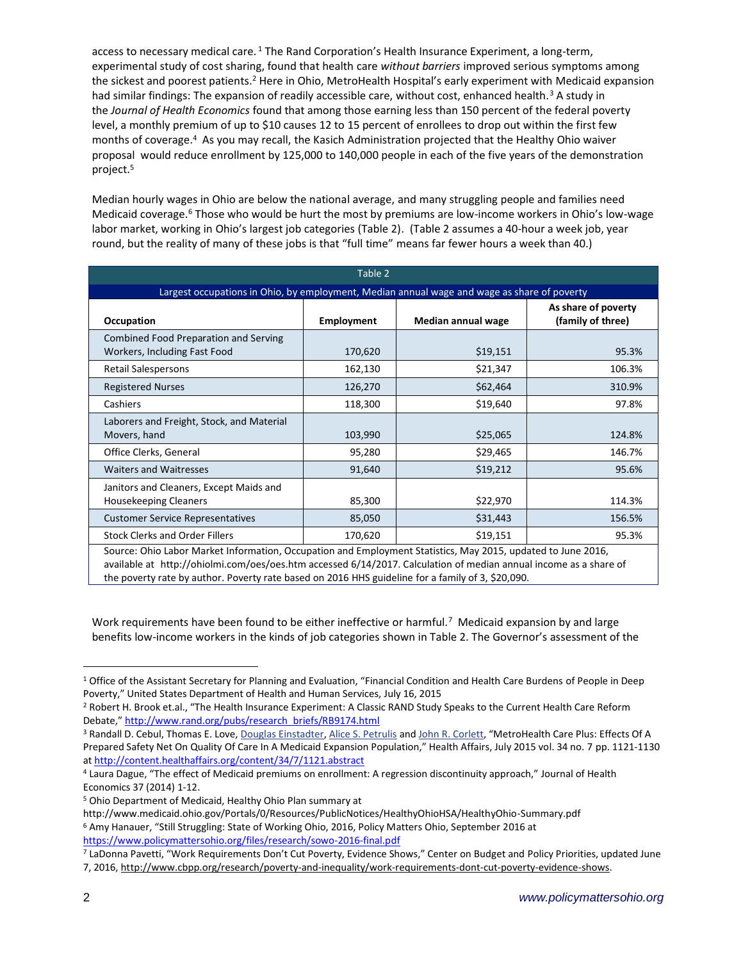access to necessary medical care. <sup>1</sup> The Rand Corporation's Health Insurance Experiment, a long-term, experimental study of cost sharing, found that health care *without barriers* improved serious symptoms among the sickest and poorest patients.<sup>2</sup> Here in Ohio, MetroHealth Hospital's early experiment with Medicaid expansion had similar findings: The expansion of readily accessible care, without cost, enhanced health.<sup>3</sup> A study in the *Journal of Health Economics* found that among those earning less than 150 percent of the federal poverty level, a monthly premium of up to \$10 causes 12 to 15 percent of enrollees to drop out within the first few months of coverage.<sup>4</sup> As you may recall, the Kasich Administration projected that the Healthy Ohio waiver proposal would reduce enrollment by 125,000 to 140,000 people in each of the five years of the demonstration project. 5

Median hourly wages in Ohio are below the national average, and many struggling people and families need Medicaid coverage.<sup>6</sup> Those who would be hurt the most by premiums are low-income workers in Ohio's low-wage labor market, working in Ohio's largest job categories (Table 2). (Table 2 assumes a 40-hour a week job, year round, but the reality of many of these jobs is that "full time" means far fewer hours a week than 40.)

| Table 2                                                                                                      |            |                    |                                          |
|--------------------------------------------------------------------------------------------------------------|------------|--------------------|------------------------------------------|
| Largest occupations in Ohio, by employment, Median annual wage and wage as share of poverty                  |            |                    |                                          |
| Occupation                                                                                                   | Employment | Median annual wage | As share of poverty<br>(family of three) |
| Combined Food Preparation and Serving<br>Workers, Including Fast Food                                        | 170,620    | \$19,151           | 95.3%                                    |
| <b>Retail Salespersons</b>                                                                                   | 162,130    | \$21,347           | 106.3%                                   |
| <b>Registered Nurses</b>                                                                                     | 126,270    | \$62,464           | 310.9%                                   |
| Cashiers                                                                                                     | 118,300    | \$19,640           | 97.8%                                    |
| Laborers and Freight, Stock, and Material<br>Movers, hand                                                    | 103,990    | \$25,065           | 124.8%                                   |
| Office Clerks, General                                                                                       | 95,280     | \$29,465           | 146.7%                                   |
| <b>Waiters and Waitresses</b>                                                                                | 91,640     | \$19,212           | 95.6%                                    |
| Janitors and Cleaners, Except Maids and<br><b>Housekeeping Cleaners</b>                                      | 85,300     | \$22,970           | 114.3%                                   |
| <b>Customer Service Representatives</b>                                                                      | 85,050     | \$31,443           | 156.5%                                   |
| <b>Stock Clerks and Order Fillers</b>                                                                        | 170,620    | \$19,151           | 95.3%                                    |
| Source: Ohio Labor Market Information, Occupation and Employment Statistics, May 2015, updated to June 2016, |            |                    |                                          |

available at http://ohiolmi.com/oes/oes.htm accessed 6/14/2017. Calculation of median annual income as a share of the poverty rate by author. Poverty rate based on 2016 HHS guideline for a family of 3, \$20,090.

Work requirements have been found to be either ineffective or harmful.<sup>7</sup> Medicaid expansion by and large benefits low-income workers in the kinds of job categories shown in Table 2. The Governor's assessment of the

<sup>5</sup> Ohio Department of Medicaid, Healthy Ohio Plan summary at

 $\overline{a}$ 

<sup>1</sup> Office of the Assistant Secretary for Planning and Evaluation, "Financial Condition and Health Care Burdens of People in Deep Poverty," United States Department of Health and Human Services, July 16, 2015

<sup>2</sup> Robert H. Brook et.al., "The Health Insurance Experiment: A Classic RAND Study Speaks to the Current Health Care Reform Debate," [http://www.rand.org/pubs/research\\_briefs/RB9174.html](http://www.rand.org/pubs/research_briefs/RB9174.html)

<sup>3</sup> Randall D. Cebul, Thomas E. Love, [Douglas Einstadter,](http://content.healthaffairs.org/search?author1=Douglas+Einstadter&sortspec=date&submit=Submit) [Alice S. Petrulis](http://content.healthaffairs.org/search?author1=Alice+S.+Petrulis&sortspec=date&submit=Submit) and [John R. Corlett](http://content.healthaffairs.org/search?author1=John+R.+Corlett&sortspec=date&submit=Submit), "MetroHealth Care Plus: Effects Of A Prepared Safety Net On Quality Of Care In A Medicaid Expansion Population," Health Affairs, July 2015 vol. 34 no. 7 pp. 1121-1130 at<http://content.healthaffairs.org/content/34/7/1121.abstract>

<sup>4</sup> Laura Dague, "The effect of Medicaid premiums on enrollment: A regression discontinuity approach," Journal of Health Economics 37 (2014) 1-12.

http://www.medicaid.ohio.gov/Portals/0/Resources/PublicNotices/HealthyOhioHSA/HealthyOhio-Summary.pdf <sup>6</sup> Amy Hanauer, "Still Struggling: State of Working Ohio, 2016, Policy Matters Ohio, September 2016 at <https://www.policymattersohio.org/files/research/sowo-2016-final.pdf>

<sup>7</sup> LaDonna Pavetti, "Work Requirements Don't Cut Poverty, Evidence Shows," Center on Budget and Policy Priorities, updated June

<sup>7, 2016,</sup> [http://www.cbpp.org/research/poverty-and-inequality/work-requirements-dont-cut-poverty-evidence-shows.](http://www.cbpp.org/research/poverty-and-inequality/work-requirements-dont-cut-poverty-evidence-shows)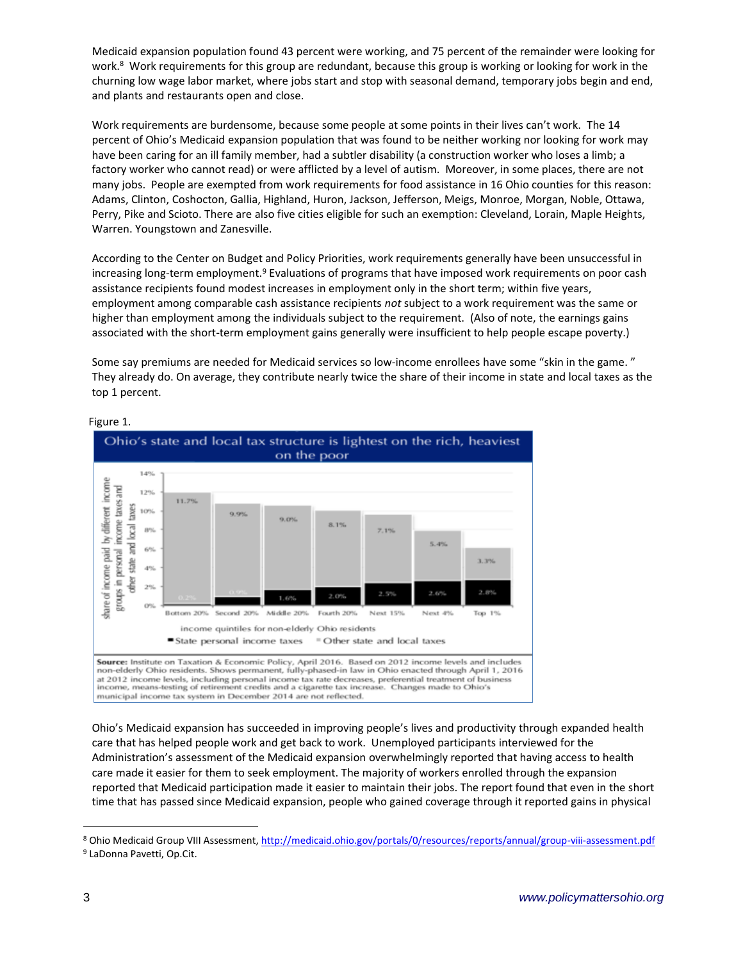Medicaid expansion population found 43 percent were working, and 75 percent of the remainder were looking for work.<sup>8</sup> Work requirements for this group are redundant, because this group is working or looking for work in the churning low wage labor market, where jobs start and stop with seasonal demand, temporary jobs begin and end, and plants and restaurants open and close.

Work requirements are burdensome, because some people at some points in their lives can't work. The 14 percent of Ohio's Medicaid expansion population that was found to be neither working nor looking for work may have been caring for an ill family member, had a subtler disability (a construction worker who loses a limb; a factory worker who cannot read) or were afflicted by a level of autism. Moreover, in some places, there are not many jobs. People are exempted from work requirements for food assistance in 16 Ohio counties for this reason: Adams, Clinton, Coshocton, Gallia, Highland, Huron, Jackson, Jefferson, Meigs, Monroe, Morgan, Noble, Ottawa, Perry, Pike and Scioto. There are also five cities eligible for such an exemption: Cleveland, Lorain, Maple Heights, Warren. Youngstown and Zanesville.

According to the Center on Budget and Policy Priorities, work requirements generally have been unsuccessful in increasing long-term employment.<sup>9</sup> Evaluations of programs that have imposed work requirements on poor cash assistance recipients found modest increases in employment only in the short term; within five years, employment among comparable cash assistance recipients *not* subject to a work requirement was the same or higher than employment among the individuals subject to the requirement. (Also of note, the earnings gains associated with the short-term employment gains generally were insufficient to help people escape poverty.)

Some say premiums are needed for Medicaid services so low-income enrollees have some "skin in the game. " They already do. On average, they contribute nearly twice the share of their income in state and local taxes as the top 1 percent.



## Figure 1.

Ohio's Medicaid expansion has succeeded in improving people's lives and productivity through expanded health care that has helped people work and get back to work. Unemployed participants interviewed for the Administration's assessment of the Medicaid expansion overwhelmingly reported that having access to health care made it easier for them to seek employment. The majority of workers enrolled through the expansion reported that Medicaid participation made it easier to maintain their jobs. The report found that even in the short time that has passed since Medicaid expansion, people who gained coverage through it reported gains in physical

 $\overline{a}$ 

<sup>8</sup> Ohio Medicaid Group VIII Assessment[, http://medicaid.ohio.gov/portals/0/resources/reports/annual/group-viii-assessment.pdf](http://medicaid.ohio.gov/portals/0/resources/reports/annual/group-viii-assessment.pdf) <sup>9</sup> LaDonna Pavetti, Op.Cit.